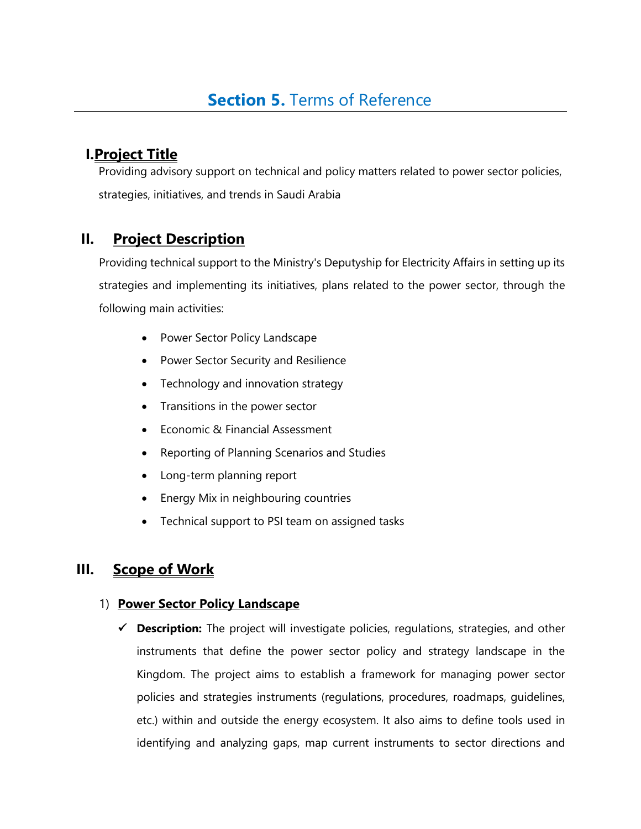# **I.Project Title**

Providing advisory support on technical and policy matters related to power sector policies, strategies, initiatives, and trends in Saudi Arabia

## **II. Project Description**

Providing technical support to the Ministry's Deputyship for Electricity Affairs in setting up its strategies and implementing its initiatives, plans related to the power sector, through the following main activities:

- Power Sector Policy Landscape
- Power Sector Security and Resilience
- Technology and innovation strategy
- Transitions in the power sector
- Economic & Financial Assessment
- Reporting of Planning Scenarios and Studies
- Long-term planning report
- Energy Mix in neighbouring countries
- Technical support to PSI team on assigned tasks

## **III. Scope of Work**

### 1) **Power Sector Policy Landscape**

✓ **Description:** The project will investigate policies, regulations, strategies, and other instruments that define the power sector policy and strategy landscape in the Kingdom. The project aims to establish a framework for managing power sector policies and strategies instruments (regulations, procedures, roadmaps, guidelines, etc.) within and outside the energy ecosystem. It also aims to define tools used in identifying and analyzing gaps, map current instruments to sector directions and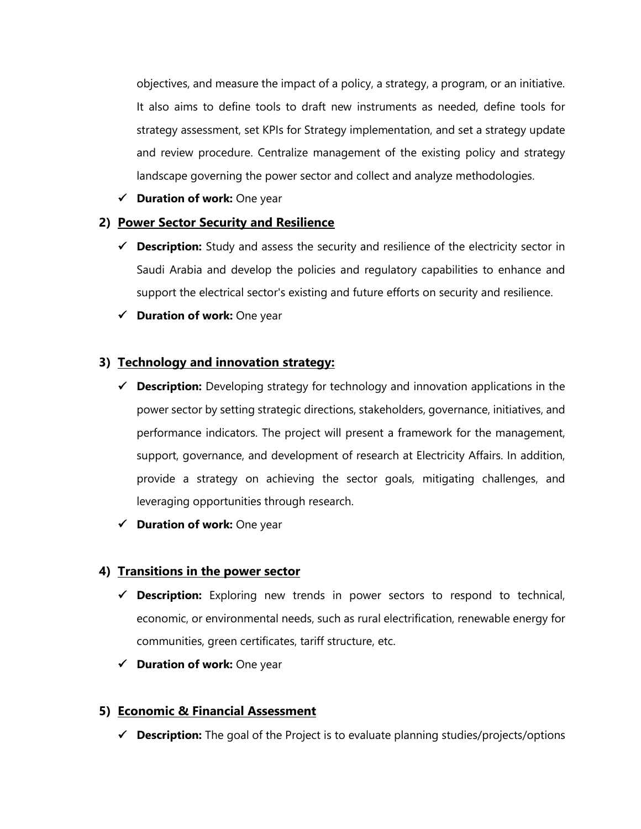objectives, and measure the impact of a policy, a strategy, a program, or an initiative. It also aims to define tools to draft new instruments as needed, define tools for strategy assessment, set KPIs for Strategy implementation, and set a strategy update and review procedure. Centralize management of the existing policy and strategy landscape governing the power sector and collect and analyze methodologies.

✓ **Duration of work:** One year

#### **2) Power Sector Security and Resilience**

- ✓ **Description:** Study and assess the security and resilience of the electricity sector in Saudi Arabia and develop the policies and regulatory capabilities to enhance and support the electrical sector's existing and future efforts on security and resilience.
- ✓ **Duration of work:** One year

#### **3) Technology and innovation strategy:**

- ✓ **Description:** Developing strategy for technology and innovation applications in the power sector by setting strategic directions, stakeholders, governance, initiatives, and performance indicators. The project will present a framework for the management, support, governance, and development of research at Electricity Affairs. In addition, provide a strategy on achieving the sector goals, mitigating challenges, and leveraging opportunities through research.
- ✓ **Duration of work:** One year

#### **4) Transitions in the power sector**

- ✓ **Description:** Exploring new trends in power sectors to respond to technical, economic, or environmental needs, such as rural electrification, renewable energy for communities, green certificates, tariff structure, etc.
- ✓ **Duration of work:** One year

#### **5) Economic & Financial Assessment**

✓ **Description:** The goal of the Project is to evaluate planning studies/projects/options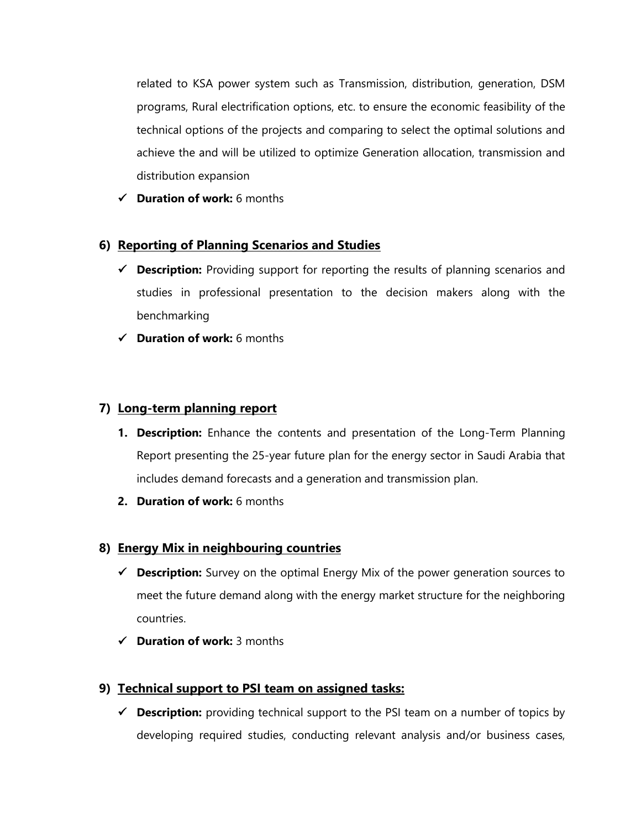related to KSA power system such as Transmission, distribution, generation, DSM programs, Rural electrification options, etc. to ensure the economic feasibility of the technical options of the projects and comparing to select the optimal solutions and achieve the and will be utilized to optimize Generation allocation, transmission and distribution expansion

✓ **Duration of work:** 6 months

### **6) Reporting of Planning Scenarios and Studies**

- ✓ **Description:** Providing support for reporting the results of planning scenarios and studies in professional presentation to the decision makers along with the benchmarking
- ✓ **Duration of work:** 6 months

### **7) Long-term planning report**

- **1. Description:** Enhance the contents and presentation of the Long-Term Planning Report presenting the 25-year future plan for the energy sector in Saudi Arabia that includes demand forecasts and a generation and transmission plan.
- **2. Duration of work:** 6 months

### **8) Energy Mix in neighbouring countries**

- ✓ **Description:** Survey on the optimal Energy Mix of the power generation sources to meet the future demand along with the energy market structure for the neighboring countries.
- ✓ **Duration of work:** 3 months

### **9) Technical support to PSI team on assigned tasks:**

✓ **Description:** providing technical support to the PSI team on a number of topics by developing required studies, conducting relevant analysis and/or business cases,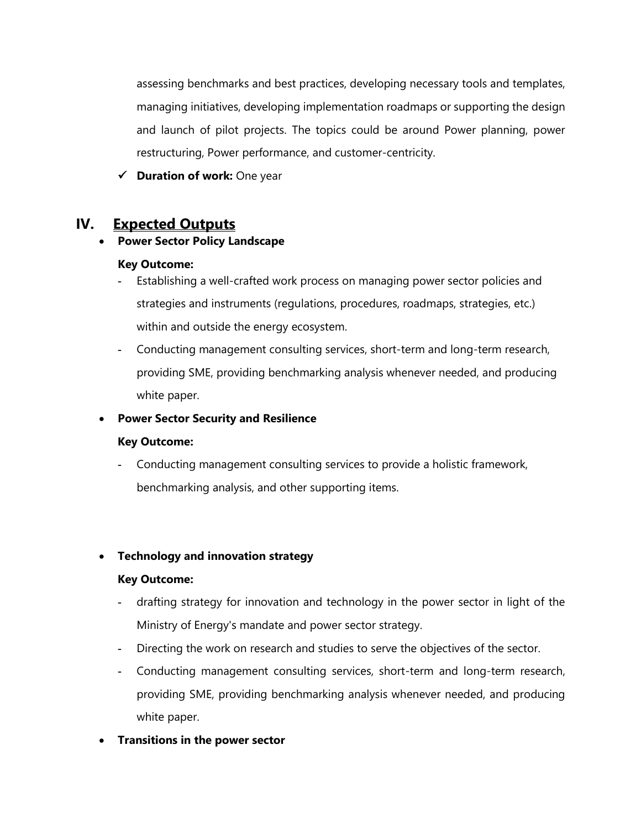assessing benchmarks and best practices, developing necessary tools and templates, managing initiatives, developing implementation roadmaps or supporting the design and launch of pilot projects. The topics could be around Power planning, power restructuring, Power performance, and customer-centricity.

✓ **Duration of work:** One year

## **IV. Expected Outputs**

#### • **Power Sector Policy Landscape**

#### **Key Outcome:**

- **-** Establishing a well-crafted work process on managing power sector policies and strategies and instruments (regulations, procedures, roadmaps, strategies, etc.) within and outside the energy ecosystem.
- **-** Conducting management consulting services, short-term and long-term research, providing SME, providing benchmarking analysis whenever needed, and producing white paper.

### • **Power Sector Security and Resilience**

#### **Key Outcome:**

**-** Conducting management consulting services to provide a holistic framework, benchmarking analysis, and other supporting items.

### • **Technology and innovation strategy**

#### **Key Outcome:**

- **-** drafting strategy for innovation and technology in the power sector in light of the Ministry of Energy's mandate and power sector strategy.
- **-** Directing the work on research and studies to serve the objectives of the sector.
- **-** Conducting management consulting services, short-term and long-term research, providing SME, providing benchmarking analysis whenever needed, and producing white paper.
- **Transitions in the power sector**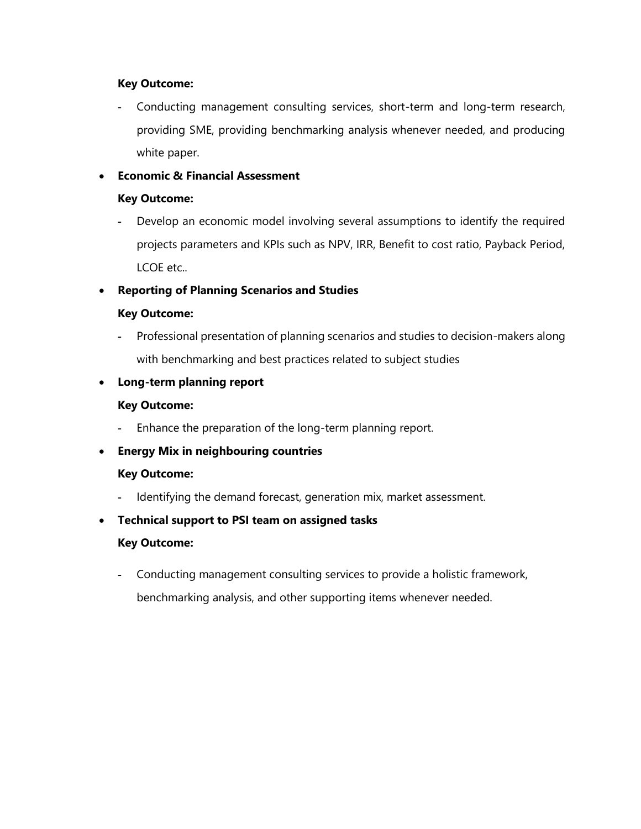#### **Key Outcome:**

**-** Conducting management consulting services, short-term and long-term research, providing SME, providing benchmarking analysis whenever needed, and producing white paper.

#### • **Economic & Financial Assessment**

#### **Key Outcome:**

**-** Develop an economic model involving several assumptions to identify the required projects parameters and KPIs such as NPV, IRR, Benefit to cost ratio, Payback Period, LCOE etc..

#### • **Reporting of Planning Scenarios and Studies**

#### **Key Outcome:**

**-** Professional presentation of planning scenarios and studies to decision-makers along with benchmarking and best practices related to subject studies

#### • **Long-term planning report**

#### **Key Outcome:**

**-** Enhance the preparation of the long-term planning report.

#### • **Energy Mix in neighbouring countries**

#### **Key Outcome:**

**-** Identifying the demand forecast, generation mix, market assessment.

#### • **Technical support to PSI team on assigned tasks**

#### **Key Outcome:**

**-** Conducting management consulting services to provide a holistic framework, benchmarking analysis, and other supporting items whenever needed.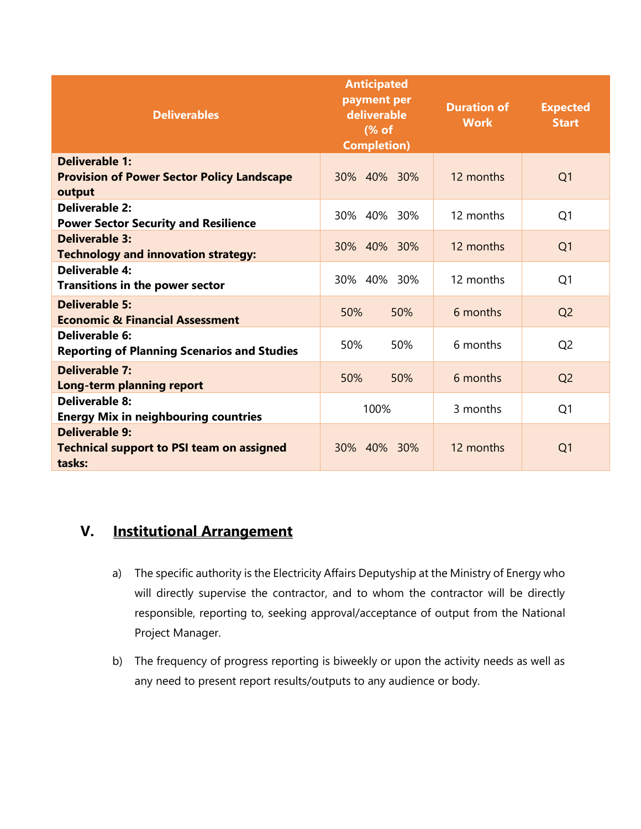| <b>Deliverables</b>                                                                 | <b>Anticipated</b><br>payment per<br>deliverable<br>(% of<br><b>Completion)</b> | <b>Duration of</b><br><b>Work</b> | <b>Expected</b><br><b>Start</b> |
|-------------------------------------------------------------------------------------|---------------------------------------------------------------------------------|-----------------------------------|---------------------------------|
| Deliverable 1:<br><b>Provision of Power Sector Policy Landscape</b><br>output       | 30% 40% 30%                                                                     | 12 months                         | Q <sub>1</sub>                  |
| <b>Deliverable 2:</b><br><b>Power Sector Security and Resilience</b>                | 30% 40% 30%                                                                     | 12 months                         | Q <sub>1</sub>                  |
| <b>Deliverable 3:</b><br><b>Technology and innovation strategy:</b>                 | 30% 40% 30%                                                                     | 12 months                         | Q <sub>1</sub>                  |
| Deliverable 4:<br><b>Transitions in the power sector</b>                            | 30% 40% 30%                                                                     | 12 months                         | Q <sub>1</sub>                  |
| <b>Deliverable 5:</b><br><b>Economic &amp; Financial Assessment</b>                 | 50%<br>50%                                                                      | 6 months                          | Q <sub>2</sub>                  |
| Deliverable 6:<br><b>Reporting of Planning Scenarios and Studies</b>                | 50%<br>50%                                                                      | 6 months                          | Q <sub>2</sub>                  |
| <b>Deliverable 7:</b><br>Long-term planning report                                  | 50%<br>50%                                                                      | 6 months                          | Q <sub>2</sub>                  |
| <b>Deliverable 8:</b><br><b>Energy Mix in neighbouring countries</b>                | 100%                                                                            | 3 months                          | Q <sub>1</sub>                  |
| <b>Deliverable 9:</b><br><b>Technical support to PSI team on assigned</b><br>tasks: | 30% 40% 30%                                                                     | 12 months                         | Q <sub>1</sub>                  |

# **V. Institutional Arrangement**

- a) The specific authority is the Electricity Affairs Deputyship at the Ministry of Energy who will directly supervise the contractor, and to whom the contractor will be directly responsible, reporting to, seeking approval/acceptance of output from the National Project Manager.
- b) The frequency of progress reporting is biweekly or upon the activity needs as well as any need to present report results/outputs to any audience or body.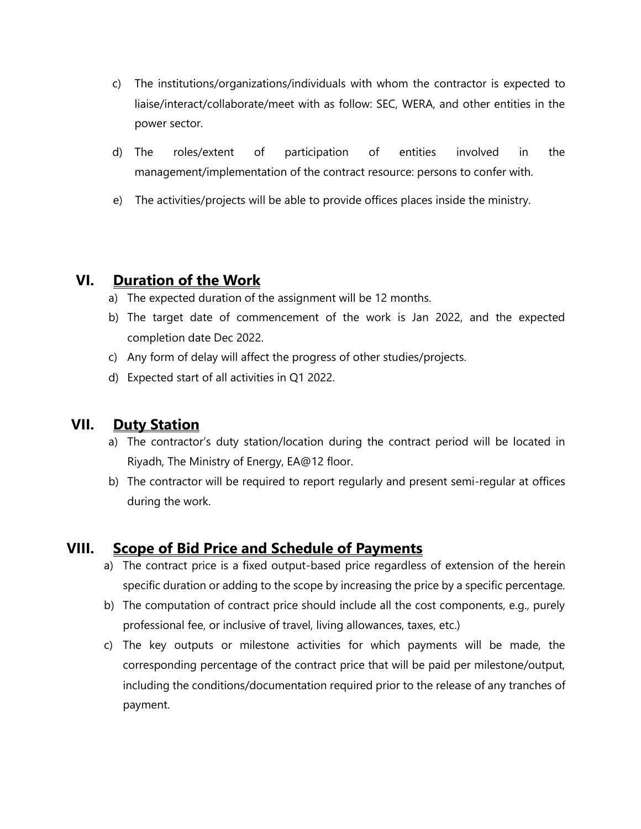- c) The institutions/organizations/individuals with whom the contractor is expected to liaise/interact/collaborate/meet with as follow: SEC, WERA, and other entities in the power sector.
- d) The roles/extent of participation of entities involved in the management/implementation of the contract resource: persons to confer with.
- e) The activities/projects will be able to provide offices places inside the ministry.

## **VI. Duration of the Work**

- a) The expected duration of the assignment will be 12 months.
- b) The target date of commencement of the work is Jan 2022, and the expected completion date Dec 2022.
- c) Any form of delay will affect the progress of other studies/projects.
- d) Expected start of all activities in Q1 2022.

## **VII. Duty Station**

- a) The contractor's duty station/location during the contract period will be located in Riyadh, The Ministry of Energy, EA@12 floor.
- b) The contractor will be required to report regularly and present semi-regular at offices during the work.

## **VIII. Scope of Bid Price and Schedule of Payments**

- a) The contract price is a fixed output-based price regardless of extension of the herein specific duration or adding to the scope by increasing the price by a specific percentage.
- b) The computation of contract price should include all the cost components, e.g., purely professional fee, or inclusive of travel, living allowances, taxes, etc.)
- c) The key outputs or milestone activities for which payments will be made, the corresponding percentage of the contract price that will be paid per milestone/output, including the conditions/documentation required prior to the release of any tranches of payment.